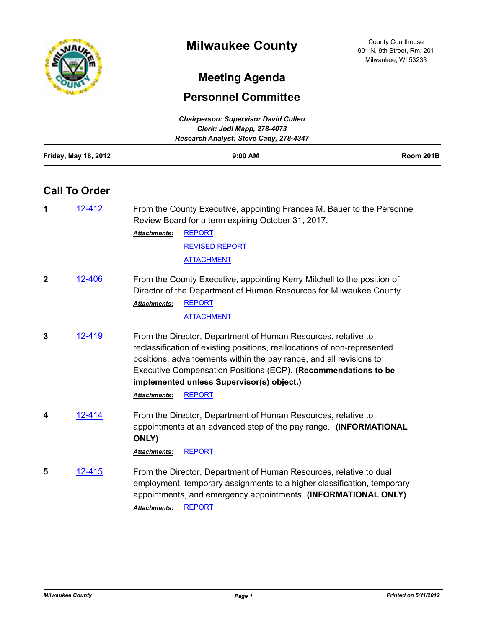

# **Meeting Agenda**

## **Personnel Committee**

| <b>Chairperson: Supervisor David Cullen</b> |                                        |                  |  |  |
|---------------------------------------------|----------------------------------------|------------------|--|--|
|                                             | Clerk: Jodi Mapp, 278-4073             |                  |  |  |
|                                             | Research Analyst: Steve Cady, 278-4347 |                  |  |  |
| <b>Friday, May 18, 2012</b>                 | $9:00$ AM                              | <b>Room 201B</b> |  |  |

## **Call To Order**

| 1 | 12-412 | From the County Executive, appointing Frances M. Bauer to the Personnel<br>Review Board for a term expiring October 31, 2017. |                       |
|---|--------|-------------------------------------------------------------------------------------------------------------------------------|-----------------------|
|   |        | <b>Attachments:</b>                                                                                                           | REPORT                |
|   |        |                                                                                                                               | <b>REVISED REPORT</b> |
|   |        |                                                                                                                               | <b>ATTACHMENT</b>     |

**2** [12-406](http://milwaukeecounty.legistar.com/gateway.aspx?m=l&id=/matter.aspx?key=2903) From the County Executive, appointing Kerry Mitchell to the position of Director of the Department of Human Resources for Milwaukee County. [REPORT](http://MilwaukeeCounty.legistar.com/gateway.aspx?M=F&ID=9c3e5024-66c6-4103-a2c3-394d71aa84de.pdf) *Attachments:*

[ATTACHMENT](http://MilwaukeeCounty.legistar.com/gateway.aspx?M=F&ID=d7b329b5-a409-4abf-a449-de108faa3422.pdf)

**3** [12-419](http://milwaukeecounty.legistar.com/gateway.aspx?m=l&id=/matter.aspx?key=2917) From the Director, Department of Human Resources, relative to reclassification of existing positions, reallocations of non-represented positions, advancements within the pay range, and all revisions to Executive Compensation Positions (ECP). **(Recommendations to be implemented unless Supervisor(s) object.)**

*Attachments:* [REPORT](http://MilwaukeeCounty.legistar.com/gateway.aspx?M=F&ID=c2679d28-361d-482f-8397-abd279a5d4c3.pdf)

**4** [12-414](http://milwaukeecounty.legistar.com/gateway.aspx?m=l&id=/matter.aspx?key=2912) From the Director, Department of Human Resources, relative to appointments at an advanced step of the pay range. **(INFORMATIONAL ONLY)**

*Attachments:* [REPORT](http://MilwaukeeCounty.legistar.com/gateway.aspx?M=F&ID=cfaf8752-108d-442d-91e7-e741b41fe862.pdf)

**5** [12-415](http://milwaukeecounty.legistar.com/gateway.aspx?m=l&id=/matter.aspx?key=2913) From the Director, Department of Human Resources, relative to dual employment, temporary assignments to a higher classification, temporary appointments, and emergency appointments. **(INFORMATIONAL ONLY)** *Attachments:* [REPORT](http://MilwaukeeCounty.legistar.com/gateway.aspx?M=F&ID=5283f7d0-2e7e-467c-af78-5ed7ca866f55.pdf)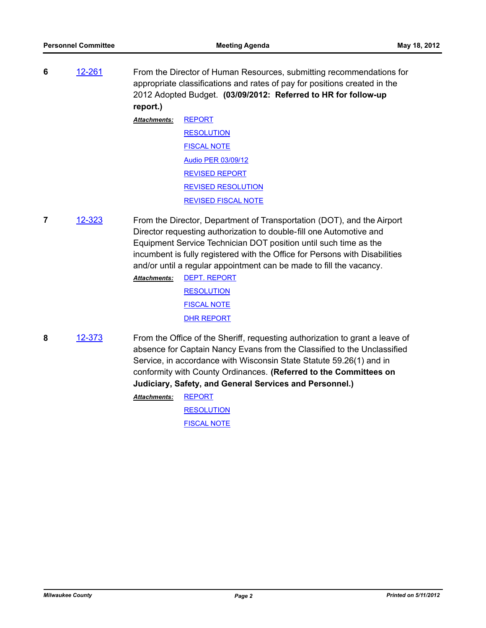**6** [12-261](http://milwaukeecounty.legistar.com/gateway.aspx?m=l&id=/matter.aspx?key=2769) From the Director of Human Resources, submitting recommendations for appropriate classifications and rates of pay for positions created in the 2012 Adopted Budget. **(03/09/2012: Referred to HR for follow-up report.)**

> [REPORT](http://MilwaukeeCounty.legistar.com/gateway.aspx?M=F&ID=d3bab1b7-8cb3-4ee2-994e-b4e63c2895d3.PDF) **[RESOLUTION](http://MilwaukeeCounty.legistar.com/gateway.aspx?M=F&ID=f030afa4-4fe5-4719-bd36-b26f9dcbb186.doc)** [FISCAL NOTE](http://MilwaukeeCounty.legistar.com/gateway.aspx?M=F&ID=024c5953-e792-4c98-be4f-179597f74dc4.doc) [Audio PER 03/09/12](http://MilwaukeeCounty.legistar.com/gateway.aspx?M=F&ID=3cd06256-105e-4f7a-969c-82b1153f3a5a.MP3) [REVISED REPORT](http://MilwaukeeCounty.legistar.com/gateway.aspx?M=F&ID=52b9a4cd-2fc6-4d3b-a0f0-4a55a8e60e35.pdf) [REVISED RESOLUTION](http://MilwaukeeCounty.legistar.com/gateway.aspx?M=F&ID=ca4fd46a-554c-480a-893d-5687007f4e27.doc) [REVISED FISCAL NOTE](http://MilwaukeeCounty.legistar.com/gateway.aspx?M=F&ID=0f20d028-f3b2-4450-ba7a-9f92733e9a37.pdf) *Attachments:*

**7** [12-323](http://milwaukeecounty.legistar.com/gateway.aspx?m=l&id=/matter.aspx?key=2831) From the Director, Department of Transportation (DOT), and the Airport Director requesting authorization to double-fill one Automotive and Equipment Service Technician DOT position until such time as the incumbent is fully registered with the Office for Persons with Disabilities and/or until a regular appointment can be made to fill the vacancy.

> [DEPT. REPORT](http://MilwaukeeCounty.legistar.com/gateway.aspx?M=F&ID=bbab8d6f-2b57-4ad8-8725-905e91fdb606.pdf) **[RESOLUTION](http://MilwaukeeCounty.legistar.com/gateway.aspx?M=F&ID=30a15b47-2c77-4f02-b15a-53db7d5ffeb3.doc)** [FISCAL NOTE](http://MilwaukeeCounty.legistar.com/gateway.aspx?M=F&ID=34dbe90e-1f3e-416d-be58-20f44dfd084e.doc) [DHR REPORT](http://MilwaukeeCounty.legistar.com/gateway.aspx?M=F&ID=fc3a8196-e8be-4a12-8282-f23da7533576.pdf) *Attachments:*

**8** [12-373](http://milwaukeecounty.legistar.com/gateway.aspx?m=l&id=/matter.aspx?key=2871) From the Office of the Sheriff, requesting authorization to grant a leave of absence for Captain Nancy Evans from the Classified to the Unclassified Service, in accordance with Wisconsin State Statute 59.26(1) and in conformity with County Ordinances. **(Referred to the Committees on Judiciary, Safety, and General Services and Personnel.)**

> [REPORT](http://MilwaukeeCounty.legistar.com/gateway.aspx?M=F&ID=14826789-971b-42e6-a5a5-a7a264034678.pdf) *Attachments:*

> > **[RESOLUTION](http://MilwaukeeCounty.legistar.com/gateway.aspx?M=F&ID=ad626772-b9ac-4368-973e-09d3b3ca324f.doc)** [FISCAL NOTE](http://MilwaukeeCounty.legistar.com/gateway.aspx?M=F&ID=80c974e5-db2f-46e2-91d7-aec746713491.doc)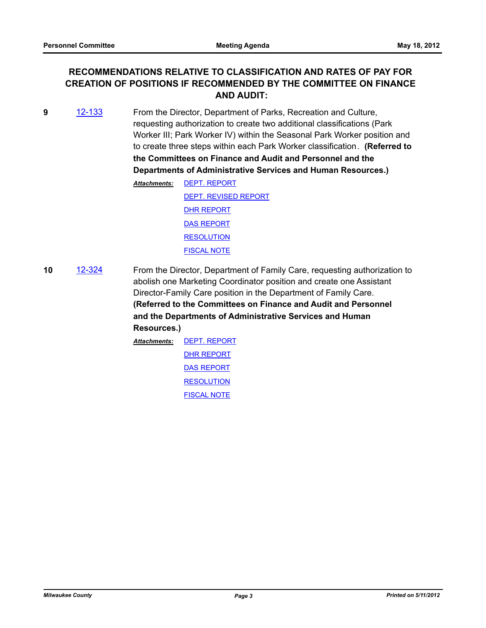### **RECOMMENDATIONS RELATIVE TO CLASSIFICATION AND RATES OF PAY FOR CREATION OF POSITIONS IF RECOMMENDED BY THE COMMITTEE ON FINANCE AND AUDIT:**

**9** [12-133](http://milwaukeecounty.legistar.com/gateway.aspx?m=l&id=/matter.aspx?key=2640) From the Director, Department of Parks, Recreation and Culture, requesting authorization to create two additional classifications (Park Worker III; Park Worker IV) within the Seasonal Park Worker position and to create three steps within each Park Worker classification. **(Referred to the Committees on Finance and Audit and Personnel and the Departments of Administrative Services and Human Resources.)**

| Attachments: | <b>DEPT. REPORT</b>         |
|--------------|-----------------------------|
|              | <b>DEPT. REVISED REPORT</b> |
|              | <b>DHR REPORT</b>           |
|              | <b>DAS REPORT</b>           |
|              | <b>RESOLUTION</b>           |
|              | <b>FISCAL NOTE</b>          |

**10** [12-324](http://milwaukeecounty.legistar.com/gateway.aspx?m=l&id=/matter.aspx?key=2832) From the Director, Department of Family Care, requesting authorization to abolish one Marketing Coordinator position and create one Assistant Director-Family Care position in the Department of Family Care. **(Referred to the Committees on Finance and Audit and Personnel and the Departments of Administrative Services and Human Resources.)**

> [DEPT. REPORT](http://MilwaukeeCounty.legistar.com/gateway.aspx?M=F&ID=73fdb7cc-eb24-4b53-ba04-479a02f24a8e.pdf) [DHR REPORT](http://MilwaukeeCounty.legistar.com/gateway.aspx?M=F&ID=25cdf5e7-916d-44d9-9d28-506c196184d4.pdf) [DAS REPORT](http://MilwaukeeCounty.legistar.com/gateway.aspx?M=F&ID=a4bfdfc4-9933-4d13-9750-f46a313becee.pdf) **[RESOLUTION](http://MilwaukeeCounty.legistar.com/gateway.aspx?M=F&ID=f6629584-4d8e-48a2-9c20-763fe139dc96.doc)** [FISCAL NOTE](http://MilwaukeeCounty.legistar.com/gateway.aspx?M=F&ID=b72738ec-58ec-48cd-8b9b-f579975aac95.pdf) *Attachments:*